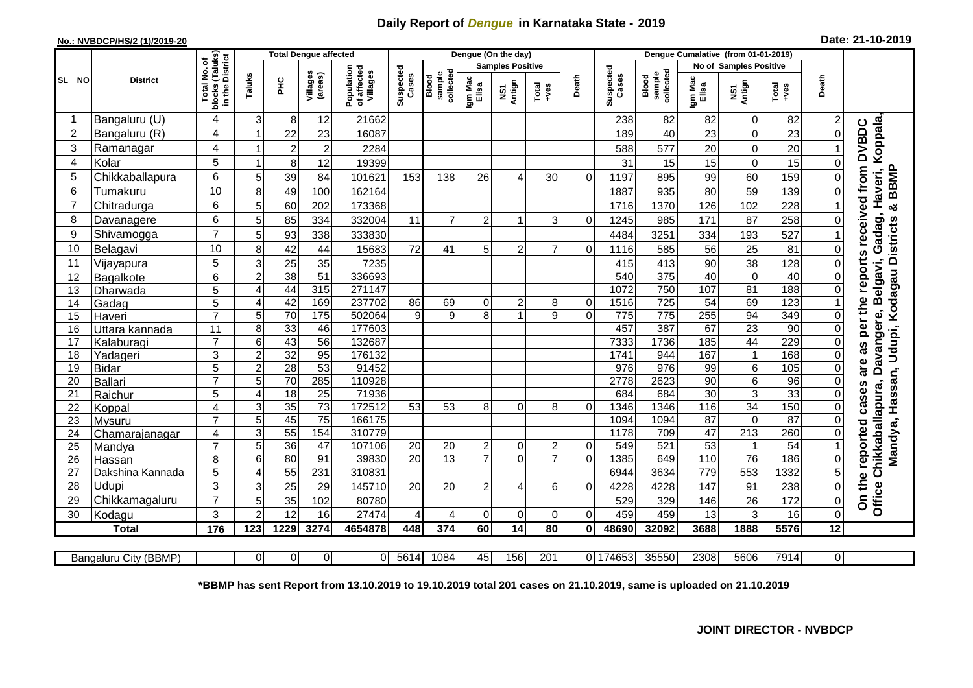## **Daily Report of** *Dengue* **in Karnataka State - 2019**

## **No.: NVBDCP/HS/2 (1)/2019-20**

| Date: 21-10-2019 |  |  |  |  |
|------------------|--|--|--|--|
|------------------|--|--|--|--|

|                |                       |                                                 |                |                 | <b>Total Dengue affected</b> |                                       | Dengue (On the day) |                             |                  |                         |                                                              |                |                    | Dengue Cumalative (from 01-01-2019) |                       |                                 |               |                         |                                       |  |
|----------------|-----------------------|-------------------------------------------------|----------------|-----------------|------------------------------|---------------------------------------|---------------------|-----------------------------|------------------|-------------------------|--------------------------------------------------------------|----------------|--------------------|-------------------------------------|-----------------------|---------------------------------|---------------|-------------------------|---------------------------------------|--|
|                |                       | ৳                                               |                |                 |                              |                                       |                     |                             |                  | <b>Samples Positive</b> |                                                              |                |                    |                                     |                       | <b>No of Samples Positive</b>   |               |                         |                                       |  |
| SL NO          | <b>District</b>       | blocks (Taluks)<br>in the District<br>Total No. | Taluks         | ᆂ               | Villages<br>(areas)          | Population<br>of affected<br>Villages | Suspected<br>Cases  | sample<br>collecte<br>Blood | Igm Mac<br>Elisa | Antign<br>Σή            | $\begin{array}{c}\n\text{Total} \\ \text{Area}\n\end{array}$ | Death          | Suspected<br>Cases | collected<br>sample<br>Blood        | Igm Mac<br>Elisa      | NS1<br>Antign                   | Total<br>+ves | Death                   |                                       |  |
|                | Bangaluru (U)         | 4                                               | 31             | 8               | 12                           | 21662                                 |                     |                             |                  |                         |                                                              |                | 238                | 82                                  | 82                    | 0                               | 82            |                         |                                       |  |
| $\overline{c}$ | Bangaluru (R)         | 4                                               |                | 22              | 23                           | 16087                                 |                     |                             |                  |                         |                                                              |                | 189                | 40                                  | 23                    | $\mathbf 0$                     | 23            | $\mathbf 0$             |                                       |  |
| 3              | Ramanagar             | 4                                               |                | $\overline{2}$  | $\overline{2}$               | 2284                                  |                     |                             |                  |                         |                                                              |                | 588                | 577                                 | 20                    | $\mathbf 0$                     | 20            |                         | Koppala<br>received from DVBDC        |  |
| $\overline{4}$ | Kolar                 | $\overline{5}$                                  | 1              | 8               | 12                           | 19399                                 |                     |                             |                  |                         |                                                              |                | 31                 | 15                                  | 15                    | $\mathbf 0$                     | 15            | $\Omega$                |                                       |  |
| 5              | Chikkaballapura       | 6                                               | 5 <sub>l</sub> | 39              | 84                           | 101621                                | 153                 | 138                         | 26               | 4                       | 30                                                           | $\Omega$       | 1197               | 895                                 | 99                    | 60                              | 159           |                         | <b>BBMP</b><br>laveri,                |  |
| 6              | Tumakuru              | 10                                              | 8              | 49              | 100                          | 162164                                |                     |                             |                  |                         |                                                              |                | 1887               | 935                                 | 80                    | 59                              | 139           | $\Omega$                |                                       |  |
| $\overline{7}$ | Chitradurga           | 6                                               | 5              | 60              | 202                          | 173368                                |                     |                             |                  |                         |                                                              |                | 1716               | 1370                                | 126                   | 102                             | 228           |                         | I<br>න්                               |  |
| 8              | Davanagere            | 6                                               | 5              | 85              | 334                          | 332004                                | 11                  | $\overline{7}$              | $\overline{c}$   |                         | 3                                                            | $\Omega$       | 1245               | 985                                 | $\frac{1}{171}$       | 87                              | 258           | $\Omega$                |                                       |  |
| 9              | Shivamogga            | $\overline{7}$                                  | 5              | 93              | 338                          | 333830                                |                     |                             |                  |                         |                                                              |                | 4484               | 3251                                | 334                   | 193                             | 527           |                         | Gadag,<br><b>Districts</b>            |  |
| 10             | Belagavi              | 10                                              | 8              | 42              | 44                           | 15683                                 | 72                  | 41                          | 5                | 2                       | $\overline{7}$                                               | 0              | 1116               | 585                                 | 56                    | 25                              | 81            | 0                       |                                       |  |
| 11             | Vijayapura            | 5                                               | 3              | 25              | 35                           | 7235                                  |                     |                             |                  |                         |                                                              |                | 415                | 413                                 | 90                    | 38                              | 128           |                         | per the reports                       |  |
| 12             | Bagalkote             | 6                                               | $\overline{2}$ | 38              | $\overline{51}$              | 336693                                |                     |                             |                  |                         |                                                              |                | 540                | $\overline{375}$                    | 40                    | $\pmb{0}$                       | 40            | $\Omega$                | Davangere, Belgavi,<br>Udupi, Kodagau |  |
| 13             | Dharwada              | $\overline{5}$                                  | 4              | $\overline{44}$ | 315                          | 271147                                |                     |                             |                  |                         |                                                              |                | 1072               | 750                                 | 107                   | 81                              | 188           | $\overline{0}$          |                                       |  |
| 14             | Gadag                 | $\overline{5}$                                  | 4              | 42              | 169                          | 237702                                | 86                  | 69                          | $\overline{0}$   | 2                       | 8                                                            | $\overline{0}$ | 1516               | $\overline{725}$                    | 54                    | 69                              | 123           |                         |                                       |  |
| 15             | Haveri                | $\overline{7}$                                  | 5              | $\overline{70}$ | $\frac{175}{175}$            | 502064                                | 9                   | $\overline{9}$              | 8                | $\overline{1}$          | 9                                                            | $\overline{0}$ | 775                | $\overline{775}$                    | 255                   | 94                              | 349           | $\overline{0}$          |                                       |  |
| 16             | Uttara kannada        | 11                                              | 8              | 33              | 46                           | 177603                                |                     |                             |                  |                         |                                                              |                | 457                | 387                                 | 67                    | $\overline{23}$                 | 90            | $\Omega$                |                                       |  |
| 17             | Kalaburagi            | $\overline{7}$                                  | 6              | 43              | $\overline{56}$              | 132687                                |                     |                             |                  |                         |                                                              |                | 7333               | 1736                                | 185                   | 44                              | 229           | $\Omega$                | 3g                                    |  |
| 18             | Yadageri              | 3                                               | $\overline{2}$ | $\overline{32}$ | $\overline{95}$              | 176132                                |                     |                             |                  |                         |                                                              |                | 1741               | 944                                 | 167                   | $\overline{1}$                  | 168           |                         |                                       |  |
| 19             | Bidar                 | $\overline{5}$                                  | 2              | 28              | 53                           | 91452                                 |                     |                             |                  |                         |                                                              |                | 976                | 976                                 | 99                    | $\,6$                           | 105           |                         | are                                   |  |
| 20             | Ballari               | $\overline{7}$                                  | 5              | 70              | 285                          | 110928                                |                     |                             |                  |                         |                                                              |                | 2778               | 2623                                | 90                    | $\overline{6}$                  | 96            |                         |                                       |  |
| 21             | Raichur               | 5                                               | 4              | $\overline{18}$ | $\overline{25}$              | 71936                                 |                     |                             |                  |                         |                                                              |                | 684                | 684                                 | 30                    | $\overline{3}$                  | 33            | $\Omega$                | Mandya, Hassan,<br>cases              |  |
| 22             | Koppal                | $\overline{4}$<br>$\overline{7}$                | 3              | $\overline{35}$ | $\overline{73}$              | 172512                                | 53                  | 53                          | 8                | $\Omega$                | 8                                                            | $\Omega$       | 1346               | 1346                                | 116                   | 34                              | 150           | $\Omega$                |                                       |  |
| 23<br>24       | <b>Mysuru</b>         | 4                                               | 5<br>3         | 45<br>55        | $\overline{75}$<br>154       | 166175<br>310779                      |                     |                             |                  |                         |                                                              |                | 1094<br>1178       | 1094<br>709                         | $\overline{87}$<br>47 | $\mathbf 0$<br>$\overline{213}$ | 87<br>260     | $\Omega$<br>$\mathbf 0$ |                                       |  |
| 25             | Chamarajanagar        | $\overline{7}$                                  | 5              | 36              | 47                           | 107106                                | 20                  | 20                          | $\overline{2}$   | 0                       | $\overline{c}$                                               | $\overline{0}$ | 549                | $\overline{521}$                    | 53                    | $\overline{1}$                  | 54            |                         |                                       |  |
| 26             | Mandya<br>Hassan      | 8                                               | 6              | 80              | 91                           | 39830                                 | $\overline{20}$     | $\overline{13}$             | $\overline{7}$   | $\Omega$                | $\overline{7}$                                               | $\Omega$       | 1385               | 649                                 | 110                   | 76                              | 186           | $\Omega$                |                                       |  |
| 27             | Dakshina Kannada      | 5                                               | 4              | 55              | 231                          | 310831                                |                     |                             |                  |                         |                                                              |                | 6944               | 3634                                | 779                   | 553                             | 1332          |                         | Chikkaballapura,                      |  |
| 28             | Udupi                 | 3                                               | 3              | 25              | 29                           | 145710                                | 20                  | 20                          | $\overline{2}$   | 4                       | 6 <sup>1</sup>                                               | $\Omega$       | 4228               | 4228                                | 147                   | 91                              | 238           | $\Omega$                |                                       |  |
| 29             | Chikkamagaluru        | $\overline{7}$                                  | 5              | 35              | 102                          | 80780                                 |                     |                             |                  |                         |                                                              |                | 529                | 329                                 | 146                   | 26                              | 172           | $\overline{0}$          | On the reported<br>Office             |  |
| 30             | Kodagu                | 3                                               | $\overline{2}$ | 12              | 16                           | 27474                                 | 4                   | 4                           | $\mathbf 0$      | $\mathbf 0$             | 0                                                            | $\overline{0}$ | 459                | 459                                 | 13                    | 3                               | 16            | $\Omega$                |                                       |  |
|                | <b>Total</b>          | 176                                             | 123            | 1229            | 3274                         | 4654878                               | 448                 | 374                         | $\overline{60}$  | 14                      | $\overline{80}$                                              | $\mathbf{0}$   | 48690              | 32092                               | 3688                  | 1888                            | 5576          | 12                      |                                       |  |
|                |                       |                                                 |                |                 |                              |                                       |                     |                             |                  |                         |                                                              |                |                    |                                     |                       |                                 |               |                         |                                       |  |
|                | Bangaluru City (BBMP) |                                                 | 01             | 0               | $\Omega$                     | $\overline{0}$                        | 5614                | 1084                        | 45               | 156                     | 201                                                          |                | 0 174653           | 35550                               | 2308                  | 5606                            | 7914          | $\overline{0}$          |                                       |  |

**\*BBMP has sent Report from 13.10.2019 to 19.10.2019 total 201 cases on 21.10.2019, same is uploaded on 21.10.2019**

## **JOINT DIRECTOR - NVBDCP**